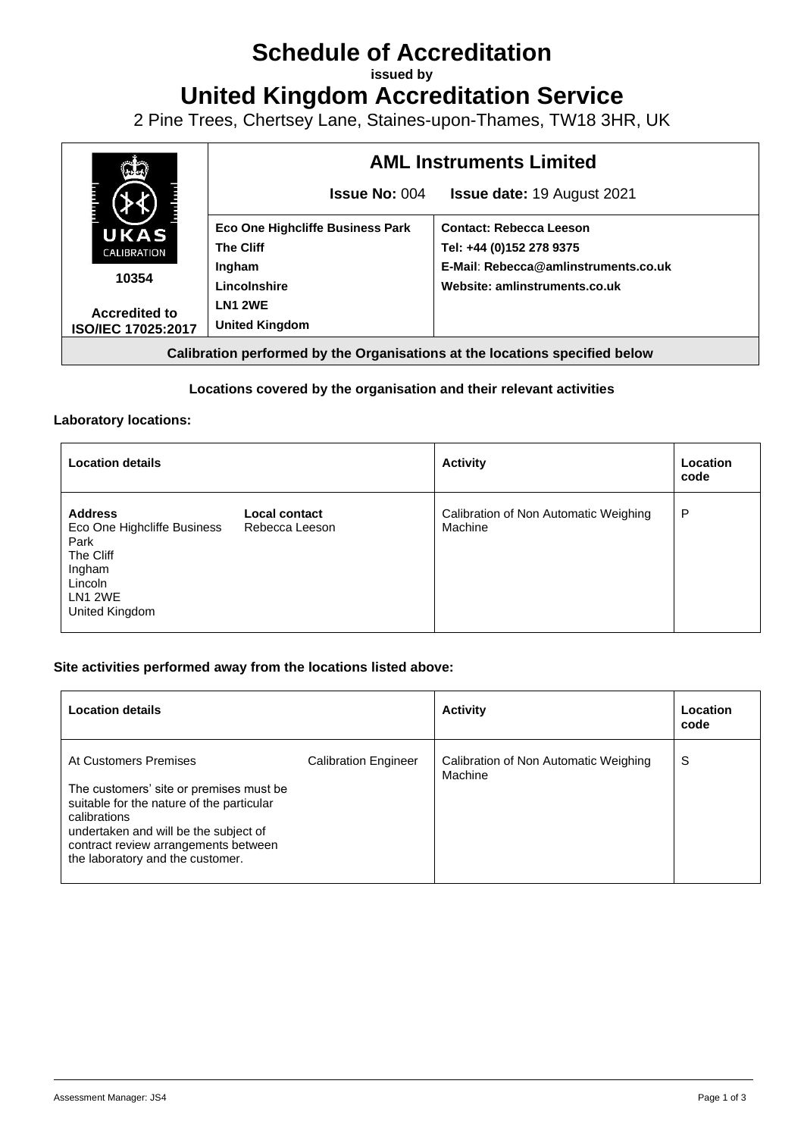# **Schedule of Accreditation**

**issued by**

**United Kingdom Accreditation Service**

2 Pine Trees, Chertsey Lane, Staines-upon-Thames, TW18 3HR, UK



# **Locations covered by the organisation and their relevant activities**

## **Laboratory locations:**

| <b>Location details</b>                                                                                              |                                 | <b>Activity</b>                                  | Location<br>code |
|----------------------------------------------------------------------------------------------------------------------|---------------------------------|--------------------------------------------------|------------------|
| <b>Address</b><br>Eco One Highcliffe Business<br>Park<br>The Cliff<br>Ingham<br>Lincoln<br>LN1 2WE<br>United Kingdom | Local contact<br>Rebecca Leeson | Calibration of Non Automatic Weighing<br>Machine | P                |

# **Site activities performed away from the locations listed above:**

| <b>Location details</b>                                                                                                                                                                                                                            |                             | <b>Activity</b>                                  | Location<br>code |
|----------------------------------------------------------------------------------------------------------------------------------------------------------------------------------------------------------------------------------------------------|-----------------------------|--------------------------------------------------|------------------|
| At Customers Premises<br>The customers' site or premises must be<br>suitable for the nature of the particular<br>calibrations<br>undertaken and will be the subject of<br>contract review arrangements between<br>the laboratory and the customer. | <b>Calibration Engineer</b> | Calibration of Non Automatic Weighing<br>Machine | S                |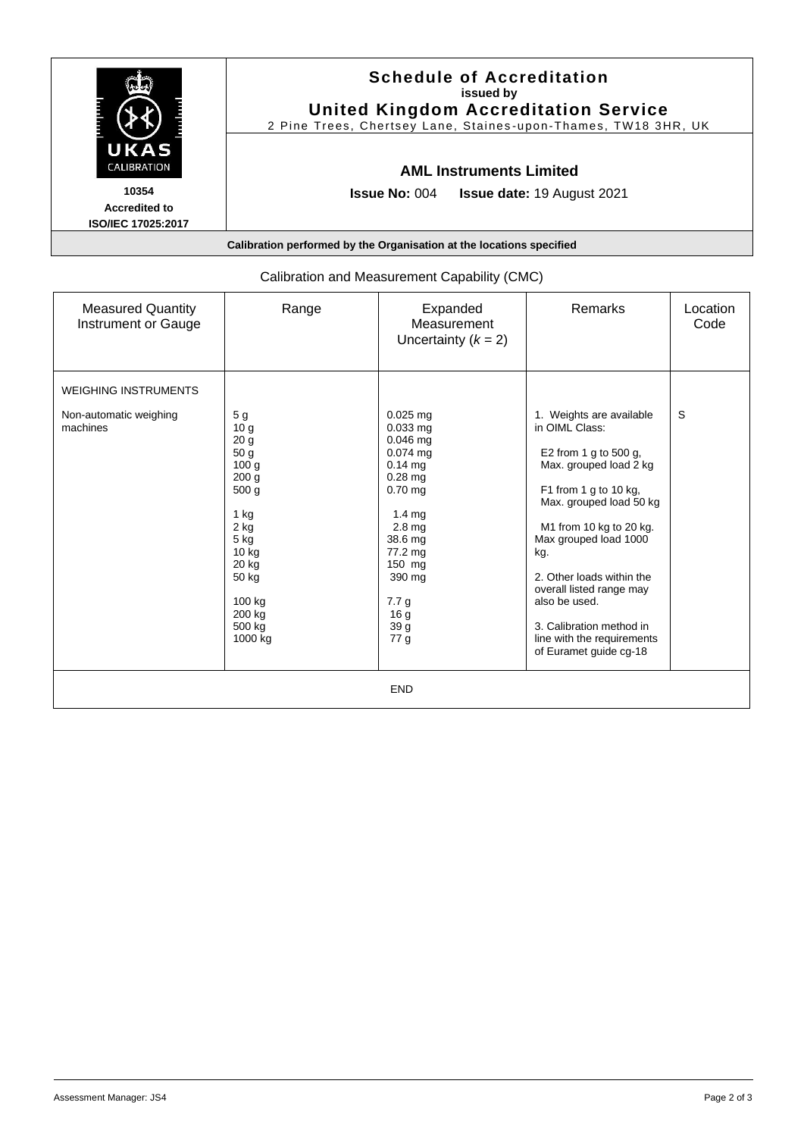|                                                                      | <b>Schedule of Accreditation</b><br>issued by<br><b>United Kingdom Accreditation Service</b><br>2 Pine Trees, Chertsey Lane, Staines-upon-Thames, TW18 3HR, UK |  |  |  |
|----------------------------------------------------------------------|----------------------------------------------------------------------------------------------------------------------------------------------------------------|--|--|--|
| UKAS<br><b>CALIBRATION</b>                                           | <b>AML Instruments Limited</b>                                                                                                                                 |  |  |  |
| 10354<br><b>Accredited to</b><br><b>ISO/IEC 17025:2017</b>           | <b>Issue No: <math>004</math></b><br><b>Issue date: 19 August 2021</b>                                                                                         |  |  |  |
| Calibration performed by the Organisation at the locations specified |                                                                                                                                                                |  |  |  |

| <b>Measured Quantity</b><br>Instrument or Gauge | Range                                                                                                                                                                                                                      | Expanded<br>Measurement<br>Uncertainty $(k = 2)$                                                                                                                                                                         | Remarks                                                                                                                                                                                                                                                                                                                                                                    | Location<br>Code |  |  |  |
|-------------------------------------------------|----------------------------------------------------------------------------------------------------------------------------------------------------------------------------------------------------------------------------|--------------------------------------------------------------------------------------------------------------------------------------------------------------------------------------------------------------------------|----------------------------------------------------------------------------------------------------------------------------------------------------------------------------------------------------------------------------------------------------------------------------------------------------------------------------------------------------------------------------|------------------|--|--|--|
| <b>WEIGHING INSTRUMENTS</b>                     |                                                                                                                                                                                                                            |                                                                                                                                                                                                                          |                                                                                                                                                                                                                                                                                                                                                                            |                  |  |  |  |
| Non-automatic weighing<br>machines              | 5 <sub>g</sub><br>10 <sub>g</sub><br>20 <sub>g</sub><br>50 g<br>100 <sub>g</sub><br>200 <sub>g</sub><br>500 g<br>$1$ kg<br>$2$ kg<br>$5$ kg<br>10 <sub>kg</sub><br>20 kg<br>50 kg<br>100 kg<br>200 kg<br>500 kg<br>1000 kg | $0.025$ mg<br>$0.033$ mg<br>0.046 mg<br>$0.074$ mg<br>$0.14$ mg<br>$0.28$ mg<br>$0.70$ mg<br>$1.4 \text{ mg}$<br>2.8 <sub>mq</sub><br>38.6 mg<br>77.2 mg<br>150 mg<br>390 mg<br>7.7 <sub>g</sub><br>16 g<br>39 g<br>77 g | 1. Weights are available<br>in OIML Class:<br>E2 from 1 g to 500 g,<br>Max. grouped load 2 kg<br>F1 from 1 g to 10 kg,<br>Max. grouped load 50 kg<br>M1 from 10 kg to 20 kg.<br>Max grouped load 1000<br>kg.<br>2. Other loads within the<br>overall listed range may<br>also be used.<br>3. Calibration method in<br>line with the requirements<br>of Euramet guide cg-18 | S                |  |  |  |
| <b>END</b>                                      |                                                                                                                                                                                                                            |                                                                                                                                                                                                                          |                                                                                                                                                                                                                                                                                                                                                                            |                  |  |  |  |

# Calibration and Measurement Capability (CMC)